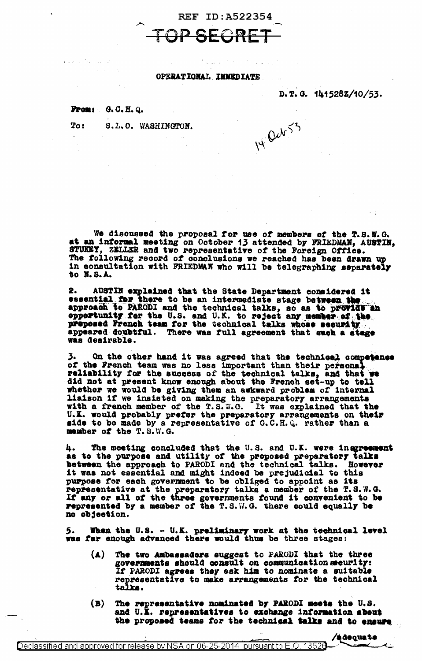REF ID: A522354 TOP SECR

## OPERATIONAL IMMEDIATE

D.T.G. 1415282/10/53.

14 Qub  $53$ 

## From: G.C.H.Q.

To: S.L.O. WASHINGTON.

We discussed the proposal for use of members of the T.S.W.G.<br>at an informal meeting on October 13 attended by FRIEDMAN, AUSTIN,<br>STUKEY, ZELLER and two representative of the Foreign Office. The following record of conclusions we reached has been drawn up in consultation with FRIEDMAN who will be telegraphing separately to N.S.A.

AUSTIN explained that the State Department considered it 2. essential for there to be an intermediate stage between the approach to PARODI and the technical talks, so as to provide an opportunity for the U.S. and U.K. to reject any member of the proposed French team for the technical talks whose security appeared doubtful. There was full agreement that such a stage was desirable.

3. On the other hand it was agreed that the technical competence of the French team was no less important than their personal reliability for the success of the technical talks, and that we did not at present know enough a whether we would be giving them an awkward problem of internal liaison if we insisted on making the preparatory arrangements<br>with a french member of the T.S.W.G. It was explained that the U.K. would probably prefer the preparatory arrangements on their<br>side to be made by a representative of G.C.H.Q. rather than a member of the T.S.W.G.

4. The meeting concluded that the U.S. and U.K. were insgreement as to the purpose and utility of the proposed preparatory talks **h.** as to the purpose and utility of the preposed preparatory taiks<br>between the approach to PARODI and the technical talks. However<br>it was not essential and might indeed be prejudicial to this<br>purpose for each government to be no objection.

When the U.S. - U.K. preliminary work at the technical level was far enough advanced there would thus be three stages:

- $(\blacktriangle)$ The two Ambassadors suggest to PARODI that the three governments should consult on communication security: If PARODI agrees they ask him to nominate a suitable representative to make arrangements for the technical talks.
- $(B)$ The representative nominated by PARODI meets the U.S. and U.K. representatives to exchange information about the proposed teams for the technical talks and to ensure

/adequate